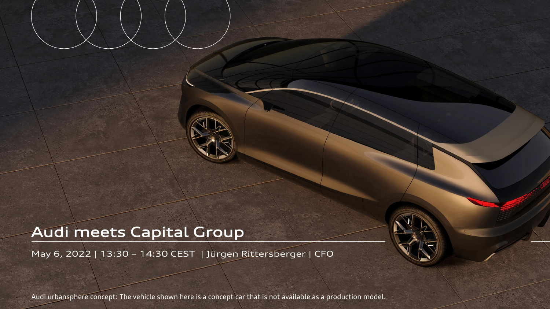## Audi meets Capital Group

May 6, 2022 | 13:30 – 14:30 CEST | Jürgen Rittersberger | CFO

Audi urbansphere concept: The vehicle shown here is a concept car that is not available as a production model.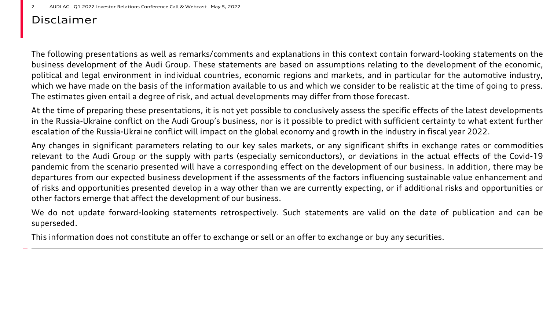## Disclaimer

The following presentations as well as remarks/comments and explanations in this context contain forward-looking statements on the business development of the Audi Group. These statements are based on assumptions relating to the development of the economic, political and legal environment in individual countries, economic regions and markets, and in particular for the automotive industry, which we have made on the basis of the information available to us and which we consider to be realistic at the time of going to press. The estimates given entail a degree of risk, and actual developments may differ from those forecast.

At the time of preparing these presentations, it is not yet possible to conclusively assess the specific effects of the latest developments in the Russia-Ukraine conflict on the Audi Group's business, nor is it possible to predict with sufficient certainty to what extent further escalation of the Russia-Ukraine conflict will impact on the global economy and growth in the industry in fiscal year 2022.

Any changes in significant parameters relating to our key sales markets, or any significant shifts in exchange rates or commodities relevant to the Audi Group or the supply with parts (especially semiconductors), or deviations in the actual effects of the Covid-19 pandemic from the scenario presented will have a corresponding effect on the development of our business. In addition, there may be departures from our expected business development if the assessments of the factors influencing sustainable value enhancement and of risks and opportunities presented develop in a way other than we are currently expecting, or if additional risks and opportunities or other factors emerge that affect the development of our business.

We do not update forward-looking statements retrospectively. Such statements are valid on the date of publication and can be superseded.

This information does not constitute an offer to exchange or sell or an offer to exchange or buy any securities.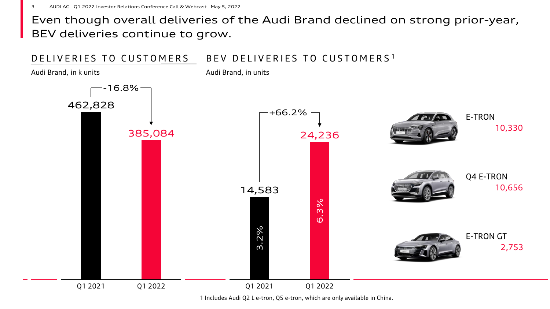## Even though overall deliveries of the Audi Brand declined on strong prior-year, BEV deliveries continue to grow.



1 Includes Audi Q2 L e-tron, Q5 e-tron, which are only available in China.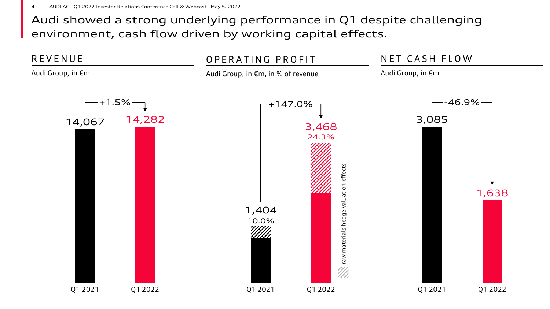Audi showed a strong underlying performance in Q1 despite challenging environment, cash flow driven by working capital effects.

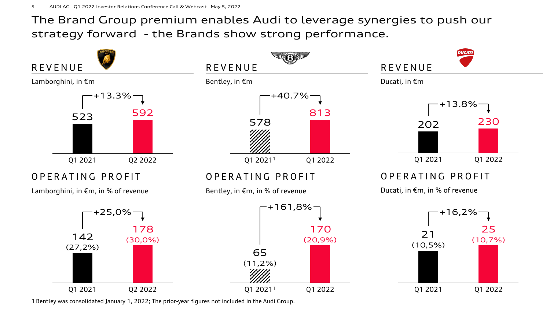The Brand Group premium enables Audi to leverage synergies to push our strategy forward - the Brands show strong performance.



1 Bentley was consolidated January 1, 2022; The prior-year figures not included in the Audi Group.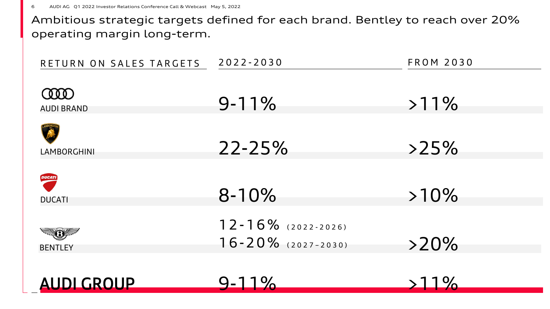Ambitious strategic targets defined for each brand. Bentley to reach over 20% operating margin long-term.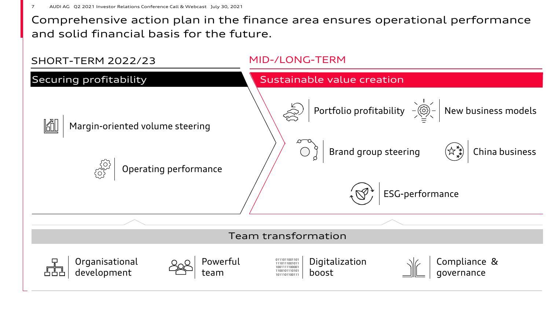Comprehensive action plan in the finance area ensures operational performance and solid financial basis for the future.

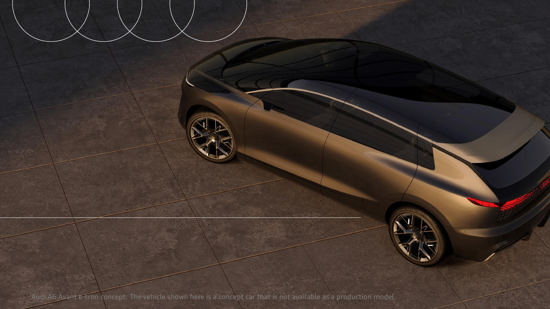